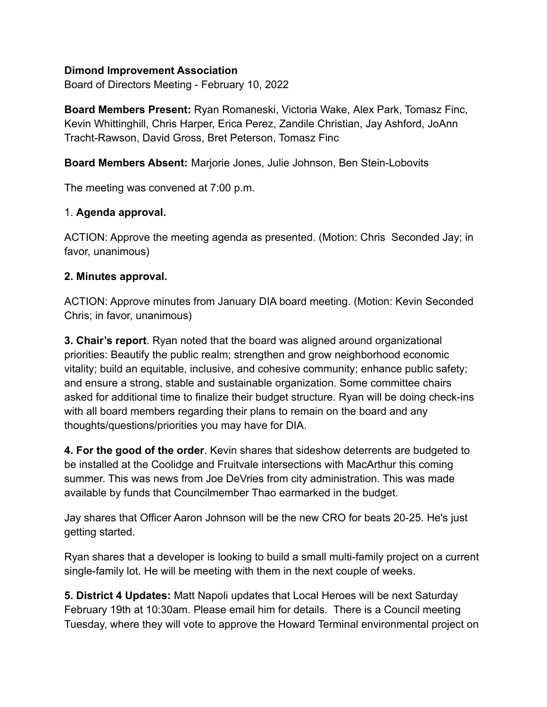### **Dimond Improvement Association**

Board of Directors Meeting - February 10, 2022

**Board Members Present:** Ryan Romaneski, Victoria Wake, Alex Park, Tomasz Finc, Kevin Whittinghill, Chris Harper, Erica Perez, Zandile Christian, Jay Ashford, JoAnn Tracht-Rawson, David Gross, Bret Peterson, Tomasz Finc

**Board Members Absent:** Marjorie Jones, Julie Johnson, Ben Stein-Lobovits

The meeting was convened at 7:00 p.m.

### 1. **Agenda approval.**

ACTION: Approve the meeting agenda as presented. (Motion: Chris Seconded Jay; in favor, unanimous)

### **2. Minutes approval.**

ACTION: Approve minutes from January DIA board meeting. (Motion: Kevin Seconded Chris; in favor, unanimous)

**3. Chair's report**. Ryan noted that the board was aligned around organizational priorities: Beautify the public realm; strengthen and grow neighborhood economic vitality; build an equitable, inclusive, and cohesive community; enhance public safety; and ensure a strong, stable and sustainable organization. Some committee chairs asked for additional time to finalize their budget structure. Ryan will be doing check-ins with all board members regarding their plans to remain on the board and any thoughts/questions/priorities you may have for DIA.

**4. For the good of the order**. Kevin shares that sideshow deterrents are budgeted to be installed at the Coolidge and Fruitvale intersections with MacArthur this coming summer. This was news from Joe DeVries from city administration. This was made available by funds that Councilmember Thao earmarked in the budget.

Jay shares that Officer Aaron Johnson will be the new CRO for beats 20-25. He's just getting started.

Ryan shares that a developer is looking to build a small multi-family project on a current single-family lot. He will be meeting with them in the next couple of weeks.

**5. District 4 Updates:** Matt Napoli updates that Local Heroes will be next Saturday February 19th at 10:30am. Please email him for details. There is a Council meeting Tuesday, where they will vote to approve the Howard Terminal environmental project on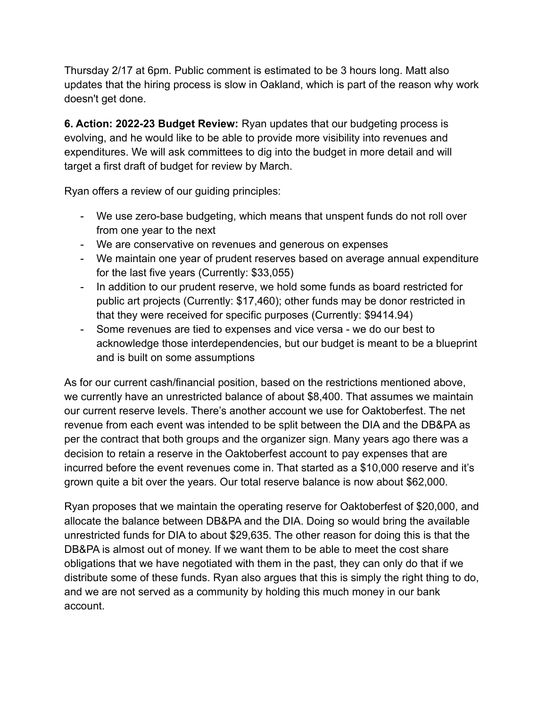Thursday 2/17 at 6pm. Public comment is estimated to be 3 hours long. Matt also updates that the hiring process is slow in Oakland, which is part of the reason why work doesn't get done.

**6. Action: 2022-23 Budget Review:** Ryan updates that our budgeting process is evolving, and he would like to be able to provide more visibility into revenues and expenditures. We will ask committees to dig into the budget in more detail and will target a first draft of budget for review by March.

Ryan offers a review of our guiding principles:

- We use zero-base budgeting, which means that unspent funds do not roll over from one year to the next
- We are conservative on revenues and generous on expenses
- We maintain one year of prudent reserves based on average annual expenditure for the last five years (Currently: \$33,055)
- In addition to our prudent reserve, we hold some funds as board restricted for public art projects (Currently: \$17,460); other funds may be donor restricted in that they were received for specific purposes (Currently: \$9414.94)
- Some revenues are tied to expenses and vice versa we do our best to acknowledge those interdependencies, but our budget is meant to be a blueprint and is built on some assumptions

As for our current cash/financial position, based on the restrictions mentioned above, we currently have an unrestricted balance of about \$8,400. That assumes we maintain our current reserve levels. There's another account we use for Oaktoberfest. The net revenue from each event was intended to be split between the DIA and the DB&PA as per the contract that both groups and the organizer sign. Many years ago there was a decision to retain a reserve in the Oaktoberfest account to pay expenses that are incurred before the event revenues come in. That started as a \$10,000 reserve and it's grown quite a bit over the years. Our total reserve balance is now about \$62,000.

Ryan proposes that we maintain the operating reserve for Oaktoberfest of \$20,000, and allocate the balance between DB&PA and the DIA. Doing so would bring the available unrestricted funds for DIA to about \$29,635. The other reason for doing this is that the DB&PA is almost out of money. If we want them to be able to meet the cost share obligations that we have negotiated with them in the past, they can only do that if we distribute some of these funds. Ryan also argues that this is simply the right thing to do, and we are not served as a community by holding this much money in our bank account.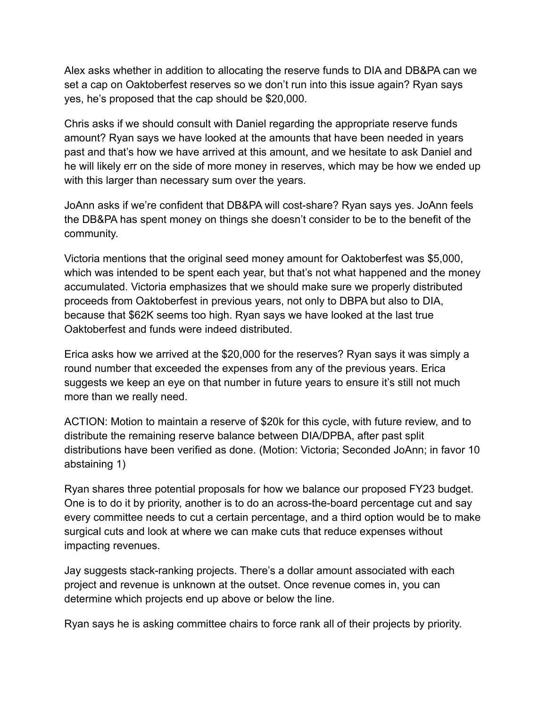Alex asks whether in addition to allocating the reserve funds to DIA and DB&PA can we set a cap on Oaktoberfest reserves so we don't run into this issue again? Ryan says yes, he's proposed that the cap should be \$20,000.

Chris asks if we should consult with Daniel regarding the appropriate reserve funds amount? Ryan says we have looked at the amounts that have been needed in years past and that's how we have arrived at this amount, and we hesitate to ask Daniel and he will likely err on the side of more money in reserves, which may be how we ended up with this larger than necessary sum over the years.

JoAnn asks if we're confident that DB&PA will cost-share? Ryan says yes. JoAnn feels the DB&PA has spent money on things she doesn't consider to be to the benefit of the community.

Victoria mentions that the original seed money amount for Oaktoberfest was \$5,000, which was intended to be spent each year, but that's not what happened and the money accumulated. Victoria emphasizes that we should make sure we properly distributed proceeds from Oaktoberfest in previous years, not only to DBPA but also to DIA, because that \$62K seems too high. Ryan says we have looked at the last true Oaktoberfest and funds were indeed distributed.

Erica asks how we arrived at the \$20,000 for the reserves? Ryan says it was simply a round number that exceeded the expenses from any of the previous years. Erica suggests we keep an eye on that number in future years to ensure it's still not much more than we really need.

ACTION: Motion to maintain a reserve of \$20k for this cycle, with future review, and to distribute the remaining reserve balance between DIA/DPBA, after past split distributions have been verified as done. (Motion: Victoria; Seconded JoAnn; in favor 10 abstaining 1)

Ryan shares three potential proposals for how we balance our proposed FY23 budget. One is to do it by priority, another is to do an across-the-board percentage cut and say every committee needs to cut a certain percentage, and a third option would be to make surgical cuts and look at where we can make cuts that reduce expenses without impacting revenues.

Jay suggests stack-ranking projects. There's a dollar amount associated with each project and revenue is unknown at the outset. Once revenue comes in, you can determine which projects end up above or below the line.

Ryan says he is asking committee chairs to force rank all of their projects by priority.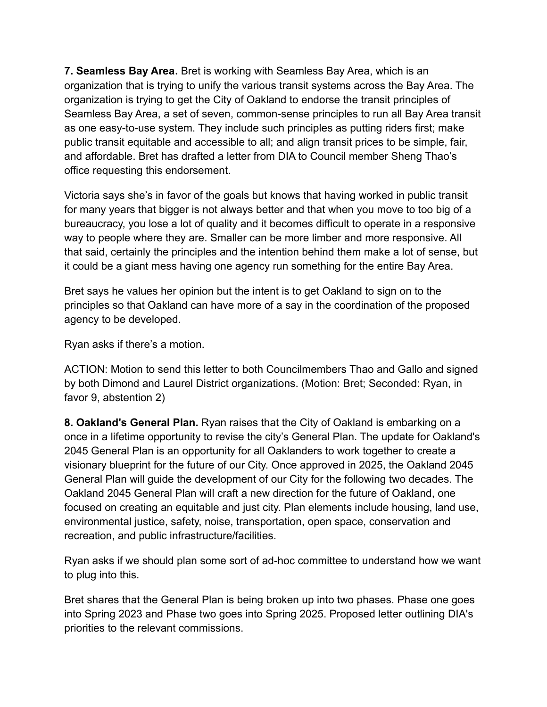**7. Seamless Bay Area.** Bret is working with Seamless Bay Area, which is an organization that is trying to unify the various transit systems across the Bay Area. The organization is trying to get the City of Oakland to endorse the transit principles of Seamless Bay Area, a set of seven, common-sense principles to run all Bay Area transit as one easy-to-use system. They include such principles as putting riders first; make public transit equitable and accessible to all; and align transit prices to be simple, fair, and affordable. Bret has drafted a letter from DIA to Council member Sheng Thao's office requesting this endorsement.

Victoria says she's in favor of the goals but knows that having worked in public transit for many years that bigger is not always better and that when you move to too big of a bureaucracy, you lose a lot of quality and it becomes difficult to operate in a responsive way to people where they are. Smaller can be more limber and more responsive. All that said, certainly the principles and the intention behind them make a lot of sense, but it could be a giant mess having one agency run something for the entire Bay Area.

Bret says he values her opinion but the intent is to get Oakland to sign on to the principles so that Oakland can have more of a say in the coordination of the proposed agency to be developed.

Ryan asks if there's a motion.

ACTION: Motion to send this letter to both Councilmembers Thao and Gallo and signed by both Dimond and Laurel District organizations. (Motion: Bret; Seconded: Ryan, in favor 9, abstention 2)

**8. Oakland's General Plan.** Ryan raises that the City of Oakland is embarking on a once in a lifetime opportunity to revise the city's General Plan. The update for Oakland's 2045 General Plan is an opportunity for all Oaklanders to work together to create a visionary blueprint for the future of our City. Once approved in 2025, the Oakland 2045 General Plan will guide the development of our City for the following two decades. The Oakland 2045 General Plan will craft a new direction for the future of Oakland, one focused on creating an equitable and just city. Plan elements include housing, land use, environmental justice, safety, noise, transportation, open space, conservation and recreation, and public infrastructure/facilities.

Ryan asks if we should plan some sort of ad-hoc committee to understand how we want to plug into this.

Bret shares that the General Plan is being broken up into two phases. Phase one goes into Spring 2023 and Phase two goes into Spring 2025. Proposed letter outlining DIA's priorities to the relevant commissions.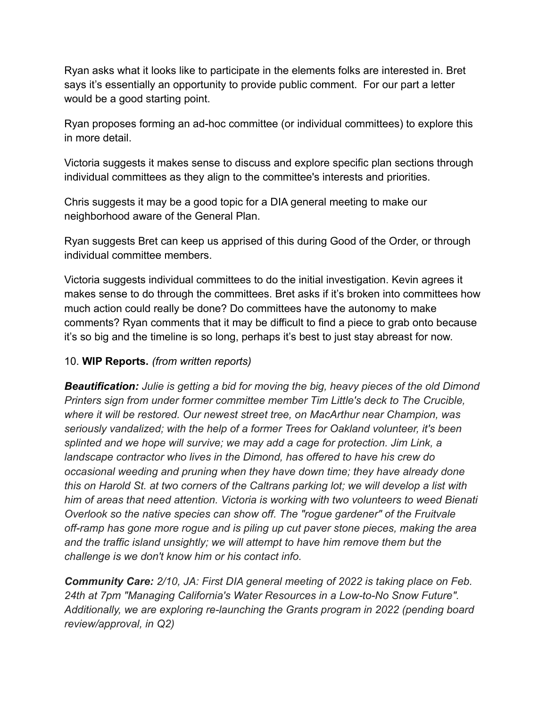Ryan asks what it looks like to participate in the elements folks are interested in. Bret says it's essentially an opportunity to provide public comment. For our part a letter would be a good starting point.

Ryan proposes forming an ad-hoc committee (or individual committees) to explore this in more detail.

Victoria suggests it makes sense to discuss and explore specific plan sections through individual committees as they align to the committee's interests and priorities.

Chris suggests it may be a good topic for a DIA general meeting to make our neighborhood aware of the General Plan.

Ryan suggests Bret can keep us apprised of this during Good of the Order, or through individual committee members.

Victoria suggests individual committees to do the initial investigation. Kevin agrees it makes sense to do through the committees. Bret asks if it's broken into committees how much action could really be done? Do committees have the autonomy to make comments? Ryan comments that it may be difficult to find a piece to grab onto because it's so big and the timeline is so long, perhaps it's best to just stay abreast for now.

## 10. **WIP Reports.** *(from written reports)*

*Beautification: Julie is getting a bid for moving the big, heavy pieces of the old Dimond Printers sign from under former committee member Tim Little's deck to The Crucible, where it will be restored. Our newest street tree, on MacArthur near Champion, was seriously vandalized; with the help of a former Trees for Oakland volunteer, it's been splinted and we hope will survive; we may add a cage for protection. Jim Link, a landscape contractor who lives in the Dimond, has offered to have his crew do occasional weeding and pruning when they have down time; they have already done this on Harold St. at two corners of the Caltrans parking lot; we will develop a list with him of areas that need attention. Victoria is working with two volunteers to weed Bienati Overlook so the native species can show off. The "rogue gardener" of the Fruitvale off-ramp has gone more rogue and is piling up cut paver stone pieces, making the area and the traffic island unsightly; we will attempt to have him remove them but the challenge is we don't know him or his contact info.*

*Community Care: 2/10, JA: First DIA general meeting of 2022 is taking place on Feb. 24th at 7pm "Managing California's Water Resources in a Low-to-No Snow Future". Additionally, we are exploring re-launching the Grants program in 2022 (pending board review/approval, in Q2)*